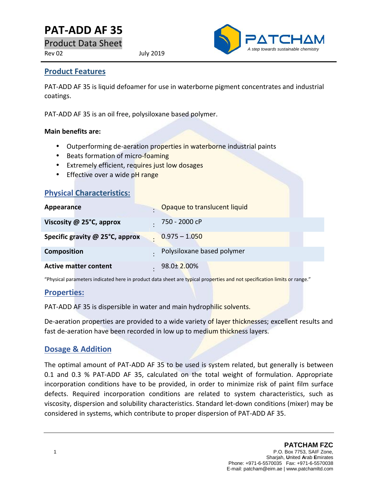# **PAT-ADD AF35**

Product Data Sheet

Rev 02 July 2019



#### **Product Features**

PAT-ADD AF 35 is liquid defoamer for use in waterborne pigment concentrates and industrial coatings.

PAT-ADD AF 35 is an oil free, polysiloxane based polymer.

#### **Main benefits are:**

- Outperforming de-aeration properties in waterborne industrial paints
- Beats formation of micro-foaming
- **Extremely efficient, requires just low dosages**
- Effective over a wide pH range

| <b>Physical Characteristics:</b> |                              |
|----------------------------------|------------------------------|
| Appearance                       | Opaque to translucent liquid |
| Viscosity @ 25°C, approx         | 750 - 2000 cP                |
| Specific gravity @ 25°C, approx  | $0.975 - 1.050$              |
| <b>Composition</b>               | Polysiloxane based polymer   |
| <b>Active matter content</b>     | 98.0± 2.00%                  |

"Physical parameters indicated here in product data sheet are typical properties and not specification limits or range."

#### **Properties:**

PAT-ADD AF 35 is dispersible in water and main hydrophilic solvents.

De-aeration properties are provided to a wide variety of layer thicknesses; excellent results and fast de-aeration have been recorded in low up to medium thickness layers.

### **Dosage & Addition**

The optimal amount of PAT-ADD AF 35 to be used is system related, but generally is between 0.1 and 0.3 % PAT-ADD AF 35, calculated on the total weight of formulation. Appropriate incorporation conditions have to be provided, in order to minimize risk of paint film surface defects. Required incorporation conditions are related to system characteristics, such as viscosity, dispersion and solubility characteristics. Standard let-down conditions (mixer) may be considered in systems, which contribute to proper dispersion of PAT-ADD AF 35.